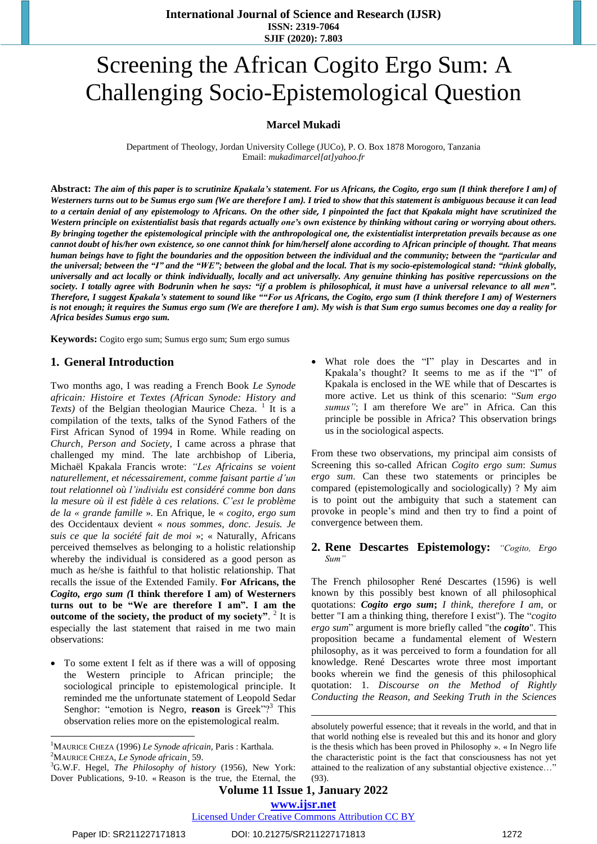# Screening the African Cogito Ergo Sum: A Challenging Socio-Epistemological Question

## **Marcel Mukadi**

Department of Theology, Jordan University College (JUCo), P. O. Box 1878 Morogoro, Tanzania Email: *[mukadimarcel\[at\]yahoo.fr](mailto:mukadimarcel@yahoo.fr)*

Abstract: The aim of this paper is to scrutinize Kpakala's statement. For us Africans, the Cogito, ergo sum (I think therefore I am) of Westerners turns out to be Sumus ergo sum (We are therefore I am). I tried to show that this statement is ambiguous because it can lead to a certain denial of any epistemology to Africans. On the other side, I pinpointed the fact that Kpakala might have scrutinized the Western principle on existentialist basis that regards actually one's own existence by thinking without caring or worrying about others. By bringing together the epistemological principle with the anthropological one, the existentialist interpretation prevails because as one cannot doubt of his/her own existence, so one cannot think for him/herself alone according to African principle of thought. That means human beings have to fight the boundaries and the opposition between the individual and the community; between the "particular and the universal; between the "I" and the "WE"; between the global and the local. That is my socio-epistemological stand: "think globally, universally and act locally or think individually, locally and act universally. Any genuine thinking has positive repercussions on the society. I totally agree with Bodrunin when he says: "if a problem is philosophical, it must have a universal relevance to all men". Therefore, I suggest Kpakala's statement to sound like ""For us Africans, the Cogito, ergo sum (I think therefore I am) of Westerners is not enough; it requires the Sumus ergo sum (We are therefore I am). My wish is that Sum ergo sumus becomes one day a reality for *Africa besides Sumus ergo sum.* 

**Keywords:** Cogito ergo sum; Sumus ergo sum; Sum ergo sumus

#### **1. General Introduction**

Two months ago, I was reading a French Book *Le Synode africain: Histoire et Textes (African Synode: History and* Texts) of the Belgian theologian Maurice Cheza.<sup>1</sup> It is a compilation of the texts, talks of the Synod Fathers of the First African Synod of 1994 in Rome. While reading on *Church, Person and Society,* I came across a phrase that challenged my mind. The late archbishop of Liberia, Michaël Kpakala Francis wrote: *"Les Africains se voient naturellement, et nécessairement, comme faisant partie d'un tout relationnel où l'individu est considéré comme bon dans la mesure où il est fidèle à ces relations. C'est le problème de la « grande famille* ». En Afrique, le « *cogito, ergo sum* des Occidentaux devient « *nous sommes, donc. Jesuis. Je suis ce que la société fait de moi* »; « Naturally, Africans perceived themselves as belonging to a holistic relationship whereby the individual is considered as a good person as much as he/she is faithful to that holistic relationship. That recalls the issue of the Extended Family. **For Africans, the** *Cogito, ergo sum (***I think therefore I am) of Westerners turns out to be "We are therefore I am". I am the outcome of the society, the product of my society"**. 2 It is especially the last statement that raised in me two main observations:

 To some extent I felt as if there was a will of opposing the Western principle to African principle; the sociological principle to epistemological principle. It reminded me the unfortunate statement of Leopold Sedar Senghor: "emotion is Negro, **reason** is Greek"?<sup>3</sup> This observation relies more on the epistemological realm.

<sup>1</sup>MAURICE CHEZA (1996) *Le Synode africain,* Paris : Karthala*.* <sup>2</sup>MAURICE CHEZA, *Le Synode africain*¸ 59.

 What role does the "I" play in Descartes and in Kpakala's thought? It seems to me as if the "I" of Kpakala is enclosed in the WE while that of Descartes is more active. Let us think of this scenario: "*Sum ergo sumus*"; I am therefore We are" in Africa. Can this principle be possible in Africa? This observation brings us in the sociological aspects.

From these two observations, my principal aim consists of Screening this so-called African *Cogito ergo sum*: *Sumus ergo sum*. Can these two statements or principles be compared (epistemologically and sociologically) ? My aim is to point out the ambiguity that such a statement can provoke in people's mind and then try to find a point of convergence between them.

#### **2. Rene Descartes Epistemology:** *"Cogito, Ergo Sum"*

The French philosopher René Descartes (1596) is well known by this possibly best known of all philosophical quotations: *Cogito ergo sum***;** *I think, therefore I am*, or better "I am a thinking thing, therefore I exist"). The "*cogito ergo sum*" argument is more briefly called "the *cogito*". This proposition became a fundamental element of [Western](http://en.wikipedia.org/wiki/Western_philosophy) [philosophy,](http://en.wikipedia.org/wiki/Western_philosophy) as it was perceived to form a foundation for all knowledge. René Descartes wrote three most important books wherein we find the genesis of this philosophical quotation: 1. *Discourse on the Method of Rightly Conducting the Reason, and Seeking Truth in the Sciences*

**Volume 11 Issue 1, January 2022**

Licensed Under Creative Commons Attribution CC BY

 $\overline{\phantom{a}}$ 

<sup>3</sup>G.W.F. Hegel, *The Philosophy of history* (1956), New York: Dover Publications, 9-10. « Reason is the true, the Eternal, the

**<sup>.</sup>** absolutely powerful essence; that it reveals in the world, and that in that world nothing else is revealed but this and its honor and glory is the thesis which has been proved in Philosophy ». « In Negro life the characteristic point is the fact that consciousness has not yet attained to the realization of any substantial objective existence…" (93).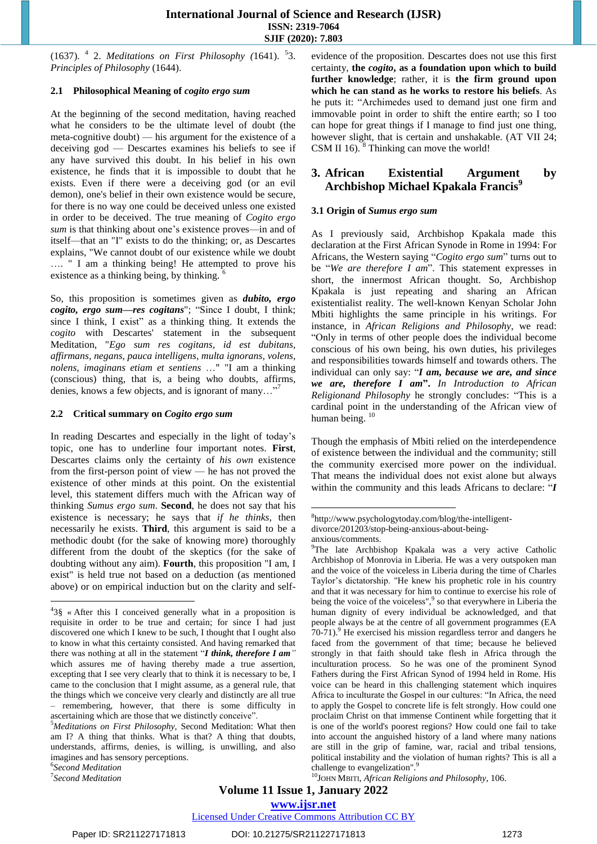(1637). <sup>4</sup> 2. *Meditations on First Philosophy (*1641). <sup>5</sup> 3. *Principles of Philosophy* (1644).

#### **2.1 Philosophical Meaning of** *cogito ergo sum*

At the beginning of the second meditation, having reached what he considers to be the ultimate level of doubt (the meta-cognitive doubt) — his argument for the existence of a deceiving god — Descartes examines his beliefs to see if any have survived this doubt. In his belief in his own existence, he finds that it is impossible to doubt that he exists. Even if there were a deceiving god (or an evil demon), one's belief in their own existence would be secure, for there is no way one could be deceived unless one existed in order to be deceived. The true meaning of *Cogito ergo sum* is that thinking about one's existence proves—in and of itself—that an "I" exists to do the thinking; or, as Descartes explains, "We cannot doubt of our existence while we doubt …. " I am a thinking being! He attempted to prove his existence as a thinking being, by thinking.  $6^{\circ}$ 

So, this proposition is sometimes given as *dubito, ergo cogito, ergo sum—res cogitans*"; "Since I doubt, I think; since I think, I exist" as a thinking thing. It extends the *cogito* with Descartes' statement in the subsequent Meditation, "*Ego sum res cogitans, id est dubitans, affirmans, negans, pauca intelligens, multa ignorans, volens, nolens, imaginans etiam et sentiens* …" "I am a thinking (conscious) thing, that is, a being who doubts, affirms, denies, knows a few objects, and is ignorant of many…"<sup>7</sup>

#### **2.2 Critical summary on** *Cogito ergo sum*

In reading Descartes and especially in the light of today's topic, one has to underline four important notes. **First**, Descartes claims only the certainty of *his own* existence from the first-person point of view — he has not proved the existence of other minds at this point. On the existential level, this statement differs much with the African way of thinking *Sumus ergo sum*. **Second**, he does not say that his existence is necessary; he says that *if he thinks*, then necessarily he exists. **Third**, this argument is said to be a methodic doubt (for the sake of knowing more) thoroughly different from the doubt of the skeptics (for the sake of doubting without any aim). **Fourth**, this proposition "I am, I exist" is held true not based on a deduction (as mentioned above) or on empirical induction but on the clarity and self-

6 *Second Meditation*

7 *Second Meditation*

 $\overline{a}$ 

evidence of the proposition. Descartes does not use this first certainty, **the** *cogito***, as a foundation upon which to build further knowledge**; rather, it is **the firm ground upon which he can stand as he works to restore his beliefs**. As he puts it: "Archimedes used to demand just one firm and immovable point in order to shift the entire earth; so I too can hope for great things if I manage to find just one thing, however slight, that is certain and unshakable. (AT VII 24; CSM II 16). <sup>8</sup> Thinking can move the world!

# **3. African Existential Argument by Archbishop Michael Kpakala Francis<sup>9</sup>**

#### **3.1 Origin of** *Sumus ergo sum*

As I previously said, Archbishop Kpakala made this declaration at the First African Synode in Rome in 1994: For Africans, the Western saying "*Cogito ergo sum*" turns out to be "*We are therefore I am*". This statement expresses in short, the innermost African thought. So, Archbishop Kpakala is just repeating and sharing an African existentialist reality. The well-known Kenyan Scholar John Mbiti highlights the same principle in his writings. For instance, in *African Religions and Philosophy*, we read: "Only in terms of other people does the individual become conscious of his own being, his own duties, his privileges and responsibilities towards himself and towards others. The individual can only say: "*I am, because we are, and since we are, therefore I am***".** *In Introduction to African Religionand Philosophy* he strongly concludes: "This is a cardinal point in the understanding of the African view of human being.<sup>10</sup>

Though the emphasis of Mbiti relied on the interdependence of existence between the individual and the community; still the community exercised more power on the individual. That means the individual does not exist alone but always within the community and this leads Africans to declare: "*I*

**.** 

Licensed Under Creative Commons Attribution CC BY

<sup>4</sup> 3§ « After this I conceived generally what in a proposition is requisite in order to be true and certain; for since I had just discovered one which I knew to be such, I thought that I ought also to know in what this certainty consisted. And having remarked that there was nothing at all in the statement "*I think, therefore I am"*  which assures me of having thereby made a true assertion, excepting that I see very clearly that to think it is necessary to be, I came to the conclusion that I might assume, as a general rule, that the things which we conceive very clearly and distinctly are all true – remembering, however, that there is some difficulty in ascertaining which are those that we distinctly conceive".

<sup>5</sup>*Meditations on First Philosophy,* Second Meditation: What then am I? A thing that thinks. What is that? A thing that doubts, understands, affirms, denies, is willing, is unwilling, and also imagines and has sensory perceptions.

<sup>8</sup> http://www.psychologytoday.com/blog/the-intelligentdivorce/201203/stop-being-anxious-about-beinganxious/comments.

<sup>&</sup>lt;sup>9</sup>The late Archbishop Kpakala was a very active Catholic Archbishop of Monrovia in Liberia. He was a very outspoken man and the voice of the voiceless in Liberia during the time of Charles Taylor's dictatorship. "He knew his prophetic role in his country and that it was necessary for him to continue to exercise his role of being the voice of the voiceless",<sup>9</sup> so that everywhere in Liberia the human dignity of every individual be acknowledged, and that people always be at the centre of all government programmes (EA 70-71).<sup>9</sup> He exercised his mission regardless terror and dangers he faced from the government of that time; because he believed strongly in that faith should take flesh in Africa through the inculturation process. So he was one of the prominent Synod Fathers during the First African Synod of 1994 held in Rome. His voice can be heard in this challenging statement which inquires Africa to inculturate the Gospel in our cultures: "In Africa, the need to apply the Gospel to concrete life is felt strongly. How could one proclaim Christ on that immense Continent while forgetting that it is one of the world's poorest regions? How could one fail to take into account the anguished history of a land where many nations are still in the grip of famine, war, racial and tribal tensions, political instability and the violation of human rights? This is all a challenge to evangelization".<sup>9</sup>

<sup>10</sup>JOHN MBITI, *African Religions and Philosophy*, 106.

**www.ijsr.net**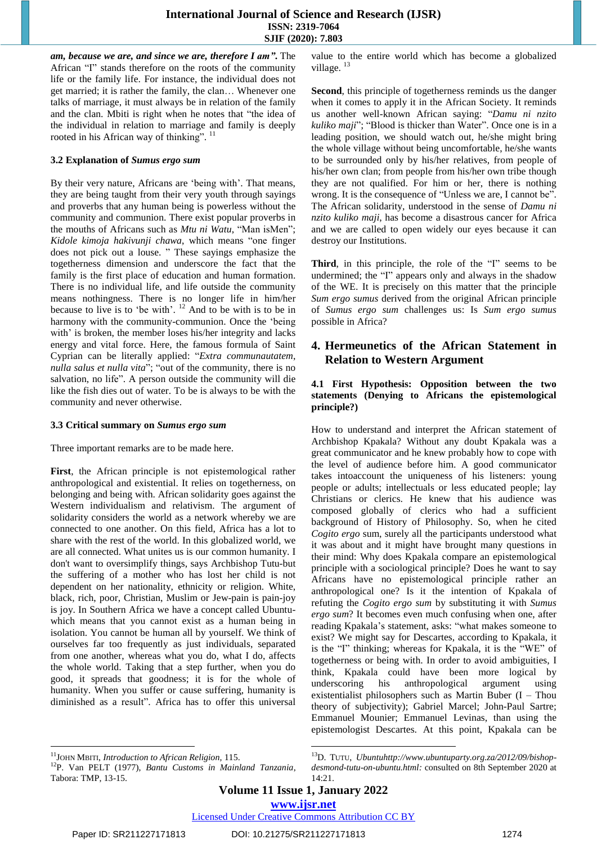*am, because we are, and since we are, therefore I am"***.** The African "I" stands therefore on the roots of the community life or the family life. For instance, the individual does not get married; it is rather the family, the clan… Whenever one talks of marriage, it must always be in relation of the family and the clan. Mbiti is right when he notes that "the idea of the individual in relation to marriage and family is deeply rooted in his African way of thinking".<sup>11</sup>

#### **3.2 Explanation of** *Sumus ergo sum*

By their very nature, Africans are 'being with'. That means, they are being taught from their very youth through sayings and proverbs that any human being is powerless without the community and communion. There exist popular proverbs in the mouths of Africans such as *Mtu ni Watu*, "Man isMen"; *Kidole kimoja hakivunji chawa*, which means "one finger does not pick out a louse. " These sayings emphasize the togetherness dimension and underscore the fact that the family is the first place of education and human formation. There is no individual life, and life outside the community means nothingness. There is no longer life in him/her because to live is to 'be with'.  $12$  And to be with is to be in harmony with the community-communion. Once the 'being with' is broken, the member loses his/her integrity and lacks energy and vital force. Here, the famous formula of Saint Cyprian can be literally applied: "*Extra communautatem*, *nulla salus et nulla vita*"; "out of the community, there is no salvation, no life". A person outside the community will die like the fish dies out of water. To be is always to be with the community and never otherwise.

#### **3.3 Critical summary on** *Sumus ergo sum*

Three important remarks are to be made here.

**First**, the African principle is not epistemological rather anthropological and existential. It relies on togetherness, on belonging and being with. African solidarity goes against the Western individualism and relativism. The argument of solidarity considers the world as a network whereby we are connected to one another. On this field, Africa has a lot to share with the rest of the world. In this globalized world, we are all connected. What unites us is our common humanity. I don't want to oversimplify things, says Archbishop Tutu-but the suffering of a mother who has lost her child is not dependent on her nationality, ethnicity or religion. White, black, rich, poor, Christian, Muslim or Jew-pain is pain-joy is joy. In Southern Africa we have a concept called Ubuntuwhich means that you cannot exist as a human being in isolation. You cannot be human all by yourself. We think of ourselves far too frequently as just individuals, separated from one another, whereas what you do, what I do, affects the whole world. Taking that a step further, when you do good, it spreads that goodness; it is for the whole of humanity. When you suffer or cause suffering, humanity is diminished as a result". Africa has to offer this universal value to the entire world which has become a globalized village.<sup>13</sup>

**Second**, this principle of togetherness reminds us the danger when it comes to apply it in the African Society. It reminds us another well-known African saying: "*Damu ni nzito kuliko maji*"; "Blood is thicker than Water". Once one is in a leading position, we should watch out, he/she might bring the whole village without being uncomfortable, he/she wants to be surrounded only by his/her relatives, from people of his/her own clan; from people from his/her own tribe though they are not qualified. For him or her, there is nothing wrong. It is the consequence of "Unless we are, I cannot be". The African solidarity, understood in the sense of *Damu ni nzito kuliko maji*, has become a disastrous cancer for Africa and we are called to open widely our eyes because it can destroy our Institutions.

**Third**, in this principle, the role of the "I" seems to be undermined; the "I" appears only and always in the shadow of the WE. It is precisely on this matter that the principle *Sum ergo sumus* derived from the original African principle of *Sumus ergo sum* challenges us: Is *Sum ergo sumus* possible in Africa?

# **4. Hermeunetics of the African Statement in Relation to Western Argument**

#### **4.1 First Hypothesis: Opposition between the two statements (Denying to Africans the epistemological principle?)**

How to understand and interpret the African statement of Archbishop Kpakala? Without any doubt Kpakala was a great communicator and he knew probably how to cope with the level of audience before him. A good communicator takes intoaccount the uniqueness of his listeners: young people or adults; intellectuals or less educated people; lay Christians or clerics. He knew that his audience was composed globally of clerics who had a sufficient background of History of Philosophy. So, when he cited *Cogito ergo* sum, surely all the participants understood what it was about and it might have brought many questions in their mind: Why does Kpakala compare an epistemological principle with a sociological principle? Does he want to say Africans have no epistemological principle rather an anthropological one? Is it the intention of Kpakala of refuting the *Cogito ergo sum* by substituting it with *Sumus ergo sum*? It becomes even much confusing when one, after reading Kpakala's statement, asks: "what makes someone to exist? We might say for Descartes, according to Kpakala, it is the "I" thinking; whereas for Kpakala, it is the "WE" of togetherness or being with. In order to avoid ambiguities, I think, Kpakala could have been more logical by underscoring his anthropological argument using existentialist philosophers such as Martin Buber (I – Thou theory of subjectivity); Gabriel Marcel; John-Paul Sartre; Emmanuel Mounier; Emmanuel Levinas, than using the epistemologist Descartes. At this point, Kpakala can be

**www.ijsr.net**

 $\overline{a}$ 

l <sup>11</sup>JOHN MBITI, *Introduction to African Religion,* 115.

<sup>12</sup>P. Van PELT (1977), *Bantu Customs in Mainland Tanzania*, Tabora: TMP, 13-15.

<sup>13</sup>D. TUTU, *Ubunt[uhttp://www.ubuntuparty.org.za/2012/09/bishop](http://www.ubuntuparty.org.za/2012/09/bishop-desmond-tutu-on-ubuntu.html)[desmond-tutu-on-ubuntu.html:](http://www.ubuntuparty.org.za/2012/09/bishop-desmond-tutu-on-ubuntu.html)* consulted on 8th September 2020 at 14:21.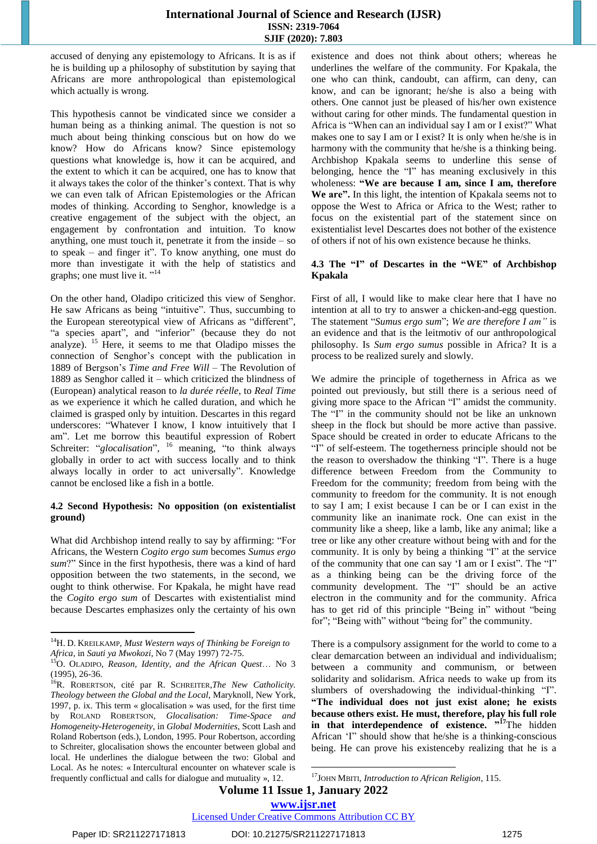## **International Journal of Science and Research (IJSR) ISSN: 2319-7064 SJIF (2020): 7.803**

accused of denying any epistemology to Africans. It is as if he is building up a philosophy of substitution by saying that Africans are more anthropological than epistemological which actually is wrong.

This hypothesis cannot be vindicated since we consider a human being as a thinking animal. The question is not so much about being thinking conscious but on how do we know? How do Africans know? Since epistemology questions what knowledge is, how it can be acquired, and the extent to which it can be acquired, one has to know that it always takes the color of the thinker's context. That is why we can even talk of African Epistemologies or the African modes of thinking. According to Senghor, knowledge is a creative engagement of the subject with the object, an engagement by confrontation and intuition. To know anything, one must touch it, penetrate it from the inside – so to speak – and finger it". To know anything, one must do more than investigate it with the help of statistics and graphs; one must live it.  $"$ <sup>14</sup>

On the other hand, Oladipo criticized this view of Senghor. He saw Africans as being "intuitive". Thus, succumbing to the European stereotypical view of Africans as "different", "a species apart", and "inferior" (because they do not analyze). <sup>15</sup> Here, it seems to me that Oladipo misses the connection of Senghor's concept with the publication in 1889 of Bergson's *Time and Free Will* – The Revolution of 1889 as Senghor called it – which criticized the blindness of (European) analytical reason to *la durée réelle*, to *Real Time* as we experience it which he called duration, and which he claimed is grasped only by intuition. Descartes in this regard underscores: "Whatever I know, I know intuitively that I am". Let me borrow this beautiful expression of Robert Schreiter: "*glocalisation*", <sup>16</sup> meaning, "to think always globally in order to act with success locally and to think always locally in order to act universally". Knowledge cannot be enclosed like a fish in a bottle.

### **4.2 Second Hypothesis: No opposition (on existentialist ground)**

What did Archbishop intend really to say by affirming: "For Africans, the Western *Cogito ergo sum* becomes *Sumus ergo sum*?" Since in the first hypothesis, there was a kind of hard opposition between the two statements, in the second, we ought to think otherwise. For Kpakala, he might have read the *Cogito ergo sum* of Descartes with existentialist mind because Descartes emphasizes only the certainty of his own existence and does not think about others; whereas he underlines the welfare of the community. For Kpakala, the one who can think, candoubt, can affirm, can deny, can know, and can be ignorant; he/she is also a being with others. One cannot just be pleased of his/her own existence without caring for other minds. The fundamental question in Africa is "When can an individual say I am or I exist?" What makes one to say I am or I exist? It is only when he/she is in harmony with the community that he/she is a thinking being. Archbishop Kpakala seems to underline this sense of belonging, hence the "I" has meaning exclusively in this wholeness: **"We are because I am, since I am, therefore We are".** In this light, the intention of Kpakala seems not to oppose the West to Africa or Africa to the West; rather to focus on the existential part of the statement since on existentialist level Descartes does not bother of the existence of others if not of his own existence because he thinks.

#### **4.3 The "I" of Descartes in the "WE" of Archbishop Kpakala**

First of all, I would like to make clear here that I have no intention at all to try to answer a chicken-and-egg question. The statement "*Sumus ergo sum*"; *We are therefore I am"* is an evidence and that is the leitmotiv of our anthropological philosophy. Is *Sum ergo sumus* possible in Africa? It is a process to be realized surely and slowly.

We admire the principle of togetherness in Africa as we pointed out previously, but still there is a serious need of giving more space to the African "I" amidst the community. The "I" in the community should not be like an unknown sheep in the flock but should be more active than passive. Space should be created in order to educate Africans to the "I" of self-esteem. The togetherness principle should not be the reason to overshadow the thinking "I". There is a huge difference between Freedom from the Community to Freedom for the community; freedom from being with the community to freedom for the community. It is not enough to say I am; I exist because I can be or I can exist in the community like an inanimate rock. One can exist in the community like a sheep, like a lamb, like any animal; like a tree or like any other creature without being with and for the community. It is only by being a thinking "I" at the service of the community that one can say 'I am or I exist". The "I" as a thinking being can be the driving force of the community development. The "I" should be an active electron in the community and for the community. Africa has to get rid of this principle "Being in" without "being for"; "Being with" without "being for" the community.

There is a compulsory assignment for the world to come to a clear demarcation between an individual and individualism; between a community and communism, or between solidarity and solidarism. Africa needs to wake up from its slumbers of overshadowing the individual-thinking "I". **"The individual does not just exist alone; he exists because others exist. He must, therefore, play his full role in that interdependence of existence. " <sup>17</sup>**The hidden African 'I" should show that he/she is a thinking-conscious being. He can prove his existenceby realizing that he is a

**Volume 11 Issue 1, January 2022**

**.** 

Licensed Under Creative Commons Attribution CC BY

 $\overline{\phantom{a}}$ 

<sup>14</sup>H. D. KREILKAMP, *Must Western ways of Thinking be Foreign to Africa*, in *Sauti ya Mwokozi*, No 7 (May 1997) 72-75.

<sup>15</sup>O. OLADIPO, *Reason, Identity, and the African Quest*… No 3 (1995), 26-36.

<sup>&</sup>lt;sup>16</sup>R. ROBERTSON, cité par R. SCHREITER, The New Catholicity. *Theology between the Global and the Local,* Maryknoll, New York, 1997, p. ix. This term « glocalisation » was used, for the first time by ROLAND ROBERTSON, *Glocalisation: Time-Space and Homogeneity-Heterogeneity*, in *Global Modernities*, Scott Lash and Roland Robertson (eds.), London, 1995. Pour Robertson, according to Schreiter, glocalisation shows the encounter between global and local. He underlines the dialogue between the two: Global and Local. As he notes: « Intercultural encounter on whatever scale is frequently conflictual and calls for dialogue and mutuality », 12.

<sup>17</sup>JOHN MBITI, *Introduction to African Religion*, 115.

**www.ijsr.net**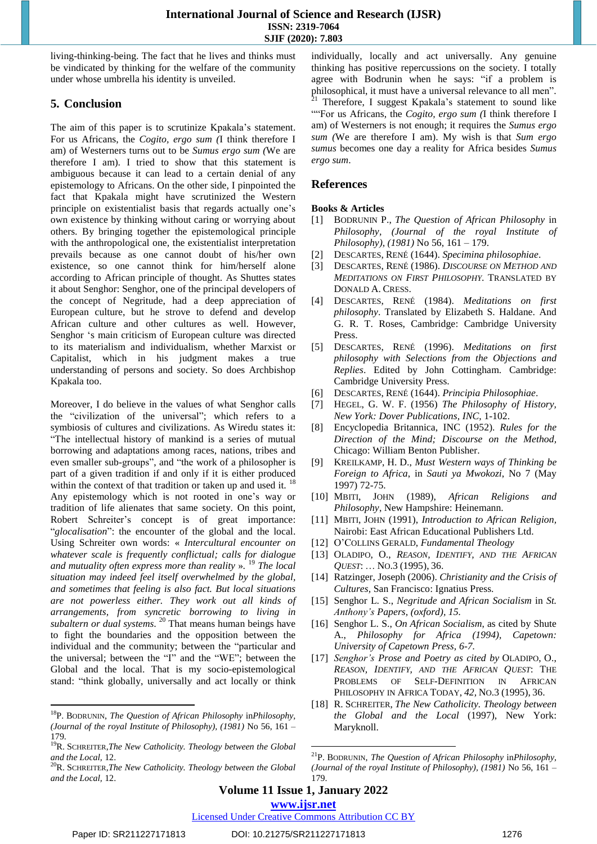living-thinking-being. The fact that he lives and thinks must be vindicated by thinking for the welfare of the community under whose umbrella his identity is unveiled.

# **5. Conclusion**

The aim of this paper is to scrutinize Kpakala's statement. For us Africans, the *Cogito, ergo sum (*I think therefore I am) of Westerners turns out to be *Sumus ergo sum (*We are therefore I am). I tried to show that this statement is ambiguous because it can lead to a certain denial of any epistemology to Africans. On the other side, I pinpointed the fact that Kpakala might have scrutinized the Western principle on existentialist basis that regards actually one's own existence by thinking without caring or worrying about others. By bringing together the epistemological principle with the anthropological one, the existentialist interpretation prevails because as one cannot doubt of his/her own existence, so one cannot think for him/herself alone according to African principle of thought. As Shuttes states it about Senghor: Senghor, one of the principal developers of the concept of Negritude, had a deep appreciation of European culture, but he strove to defend and develop African culture and other cultures as well. However, Senghor 's main criticism of European culture was directed to its materialism and individualism, whether Marxist or Capitalist, which in his judgment makes a true understanding of persons and society. So does Archbishop Kpakala too.

Moreover, I do believe in the values of what Senghor calls the "civilization of the universal"; which refers to a symbiosis of cultures and civilizations. As Wiredu states it: "The intellectual history of mankind is a series of mutual borrowing and adaptations among races, nations, tribes and even smaller sub-groups", and "the work of a philosopher is part of a given tradition if and only if it is either produced within the context of that tradition or taken up and used it.  $18$ Any epistemology which is not rooted in one's way or tradition of life alienates that same society. On this point, Robert Schreiter's concept is of great importance: "*glocalisation*": the encounter of the global and the local. Using Schreiter own words: « *Intercultural encounter on whatever scale is frequently conflictual; calls for dialogue and mutuality often express more than reality* ». <sup>19</sup> *The local situation may indeed feel itself overwhelmed by the global, and sometimes that feeling is also fact. But local situations are not powerless either. They work out all kinds of arrangements, from syncretic borrowing to living in subaltern or dual systems*. <sup>20</sup> That means human beings have to fight the boundaries and the opposition between the individual and the community; between the "particular and the universal; between the "I" and the "WE"; between the Global and the local. That is my socio-epistemological stand: "think globally, universally and act locally or think

individually, locally and act universally. Any genuine thinking has positive repercussions on the society. I totally agree with Bodrunin when he says: "if a problem is philosophical, it must have a universal relevance to all men". <sup>1</sup> Therefore, I suggest Kpakala's statement to sound like ""For us Africans, the *Cogito, ergo sum (*I think therefore I am) of Westerners is not enough; it requires the *Sumus ergo sum (*We are therefore I am). My wish is that *Sum ergo sumus* becomes one day a reality for Africa besides *Sumus ergo sum*.

# **References**

## **Books & Articles**

- [1] BODRUNIN P., *The Question of African Philosophy* in *Philosophy, (Journal of the royal Institute of Philosophy), (1981)* No 56, 161 – 179.
- [2] DESCARTES, RENÉ (1644). *Specimina [philosophiae](http://books.google.com/books?id=xSo_AAAAcAAJ&pg=PA30)*.
- [3] DESCARTES, RENÉ (1986). *D[ISCOURSE](http://books.google.com/books?id=r7F27Ra9ecoC&pg=PA65) ON METHOD AND M[EDITATIONS](http://books.google.com/books?id=r7F27Ra9ecoC&pg=PA65) ON FIRST PHILOSOPHY*. TRANSLATED BY DONALD A. CRESS.
- [4] DESCARTES, RENÉ (1984). *[Meditations](http://books.google.com/books?id=t4r9iLV2ZXYC&pg=PA29) on first [philosophy](http://books.google.com/books?id=t4r9iLV2ZXYC&pg=PA29)*. Translated by Elizabeth S. Haldane. And G. R. T. Roses, Cambridge: Cambridge University Press.
- [5] DESCARTES, RENÉ (1996). *[Meditations](http://books.google.com/books?id=t4r9iLV2ZXYC&pg=PA29) on first [philosophy](http://books.google.com/books?id=t4r9iLV2ZXYC&pg=PA29) with Selections from the Objections and Replies*. Edited by John Cottingham. Cambridge: Cambridge University Press.
- [6] DESCARTES, RENÉ (1644). *Principia [Philosophiae](http://books.google.com/books?id=lHpbAAAAQAAJ)*.
- [7] HEGEL, G. W. F. (1956) *The Philosophy of History, New York: Dover Publications, INC,* 1-102.
- [8] Encyclopedia Britannica, INC (1952). *Rules for the Direction of the Mind; Discourse on the Method,*  Chicago: William Benton Publisher.
- [9] KREILKAMP, H. D., *Must Western ways of Thinking be Foreign to Africa*, in *Sauti ya Mwokozi*, No 7 (May 1997) 72-75.
- [10] MBITI, JOHN (1989), *African Religions and Philosophy*, New Hampshire: Heinemann.
- [11] MBITI, JOHN (1991), *Introduction to African Religion,*  Nairobi: East African Educational Publishers Ltd.
- [12] O'COLLINS GERALD, *Fundamental Theology*
- [13] OLADIPO, O., *REASON, IDENTIFY, AND THE AFRICAN QUEST*: … NO.3 (1995), 36.
- [14] Ratzinger, Joseph (2006). *Christianity and the Crisis of Cultures,* San Francisco: Ignatius Press.
- [15] Senghor L. S., *Negritude and African Socialism* in *St. Anthony's Papers, (oxford), 15.*
- [16] Senghor L. S., *On African Socialism*, as cited by Shute A., *Philosophy for Africa (1994), Capetown: University of Capetown Press, 6-7.*
- [17] *Senghor's Prose and Poetry as cited by* OLADIPO, O., *REASON, IDENTIFY, AND THE AFRICAN QUEST*: THE PROBLEMS OF SELF-DEFINITION IN AFRICAN PHILOSOPHY IN AFRICA TODAY, *42,* NO.3 (1995), 36.
- [18] R. SCHREITER, *The New Catholicity. Theology between the Global and the Local* (1997), New York: Maryknoll.

**Volume 11 Issue 1, January 2022**

#### **www.ijsr.net**

 $\overline{a}$ 

Licensed Under Creative Commons Attribution CC BY

 $\overline{a}$ 

<sup>18</sup>P. BODRUNIN, *The Question of African Philosophy* in*Philosophy, (Journal of the royal Institute of Philosophy), (1981)* No 56, 161 – 179.

<sup>19</sup>R. SCHREITER,*The New Catholicity. Theology between the Global and the Local,* 12.

<sup>20</sup>R. SCHREITER,*The New Catholicity. Theology between the Global and the Local,* 12.

<sup>21</sup>P. BODRUNIN, *The Question of African Philosophy* in*Philosophy, (Journal of the royal Institute of Philosophy), (1981)* No 56, 161 – 179.